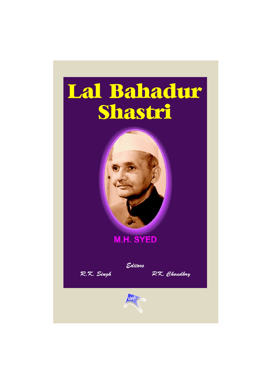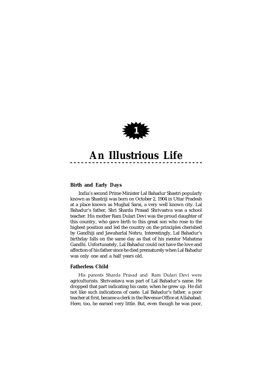

# **Birth and Early Days**

India's second Prime Minister Lal Bahadur Shastri popularly known as Shastriji was born on October 2, 1904 in Uttar Pradesh at a place known as Mughal Sarai, a very well known city. Lal Bahadur's father, Shri Sharda Prasad Shrivastva was a school teacher. His mother Ram Dulari Devi was the proud daughter of this country, who gave birth to this great son who rose to the highest position and led the country on the principles cherished by Gandhiji and Jawaharlal Nehru. Interestingly, Lal Bahadur's birthday falls on the same day as that of his mentor Mahatma Gandhi. Unfortunately, Lal Bahadur could not have the love and affection of his father since he died prematurely when Lal Bahadur was only one and a half years old.

# **Fatherless Child**

His parents Sharda Prasad and Ram Dulari Devi were agriculturists. Shrivastava was part of Lal Bahadur's name. He dropped that part indicating his caste, when he grew up. He did not like such indications of caste. Lal Bahadur's father, a poor teacher at first, became a clerk in the Revenue Office at Allahabad. Here, too, he earned very little. But, even though he was poor,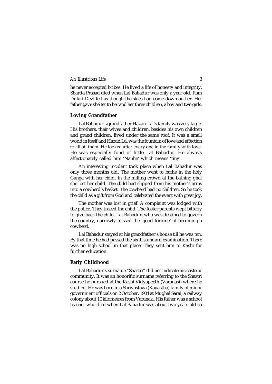he never accepted bribes. He lived a life of honesty and integrity. Sharda Prasad died when Lal Bahadur was only a year old. Ram Dulari Devi felt as though the skies had come down on her. Her father gave shelter to her and her three children, a boy and two girls.

### **Loving Grandfather**

Lal Bahadur's grandfather Hazari Lal's family was very large. His brothers, their wives and children, besides his own children and grand children, lived under the same roof. It was a small world in itself and Hazari Lal was the fountain of love and affection to all of them. He looked after every one in the family with love. He was especially fond of little Lal Bahadur. He always affectionately called him 'Nanhe' which means 'tiny'.

An interesting incident took place when Lal Bahadur was only three months old. The mother went to bathe in the holy Ganga with her child. In the milling crowd at the bathing ghat she lost her child. The child had slipped from his mother's arms into a cowherd's basket. The cowherd had no children, So he took the child as a gift from God and celebrated the event with great joy.

The mother was lost in grief. A complaint was lodged with the police. They traced the child. The foster parents wept bitterly to give back the child. Lal Bahadur, who was destined to govern the country, narrowly missed the 'good fortune' of becoming a cowherd.

Lal Bahadur stayed at his grandfather's house till he was ten. By that time he had passed the sixth standard examination. There was no high school in that place. They sent him to Kashi for further education.

# **Early Childhood**

Lal Bahadur's surname "Shastri" did not indicate his caste or community. It was an honorific surname referring to the Shastri course he pursued at the Kashi Vidyapeeth (Varanasi) where he studied. He was born in a Shrivastava (Kayastha) family of minor government officials on 2 October, 1904 at Mughal Sarai, a railway colony about 10 kilometres from Varanasi. His father was a school teacher who died when Lal Bahadur was about two years old so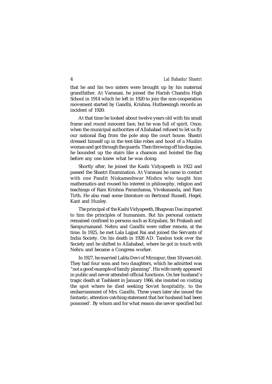that he and his two sisters were brought up by his maternal grandfather. At Varanasi, he joined the Harish Chandra High School in 1914 which he left in 1920 to join the non-cooperation movement started by Gandhi, Krishna, Hutheesingh records an incident of 1920:

At that time he looked about twelve years old with his small frame and round innocent face, but he was full of spirit. Once, when the municipal authorities of Allahabad refused to let us fly our national flag from the pole atop the court house. Shastri dressed himself up in the tent-like robes and hood of a Muslim woman and got through the guards. Then throwing off his disguise, he bounded up the stairs like a chamois and hoisted the flag before any one knew what he was doing.

Shortly after, he joined the Kashi Vidyapeeth in 1922 and passed the Shastri Examination. At Varanasi he came in contact with one Pandit Niskameshwar Mishra who taught him mathematics and roused his interest in philosophy, religion and teachings of Ram Krishna Paramhansa, Vivekananda, and Ram Tirth. He also read some literature on Bertrand Russell, Hegel, Kant and Huxley.

The principal of the Kashi Vidyapeeth, Bhagwan Das imparted to him the principles of humanism. But his personal contacts remained confined to persons such as Kripalani, Sri Prakash and Sampurnanand. Nehru and Gandhi were rather remote, at the time. In 1925, he met Lala Lajpat Rai and joined the Servants of India Society. On his death in 1928 AD. Tandon took over the Society and he shifted to Allahabad, where he got in touch with Nehru and became a Congress worker.

In 1927, he married Lalita Devi of Mirzapur, then 18 years old. They had four sons and two daughters, which he admitted was "not a good example of family planning". His wife rarely appeared in public and never attended official functions. On her husband's tragic death at Tashkent in January 1966, she insisted on visiting the spot where he died seeking Soviet hospitality, to the embarrassment of Mrs. Gandhi. Three years later she issued the fantastic, attention-catching statement that her husband had been poisoned'. By whom and for what reason she never specified but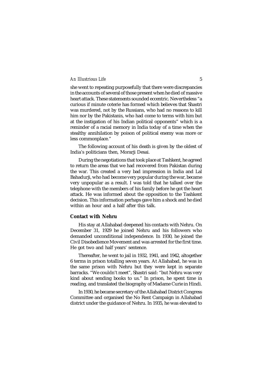she went to repeating purposefully that there were discrepancies in the accounts of several of those present when he died of massive heart attack. These statements sounded eccentric. Nevertheless "a curious if minute coterie has formed which believes that Shastri was murdered, not by the Russians, who had no reasons to kill him nor by the Pakistanis, who had come to terms with him but at the instigation of his Indian political opponents" which is a reminder of a racial memory in India today of a time when the stealthy annihilation by poison of political enemy was more or less commonplace."

The following account of his death is given by the oldest of India's politicians then, Morarji Desai.

During the negotiations that took place at Tashkent, he agreed to return the areas that we had recovered from Pakistan during the war. This created a very bad impression in India and Lal Bahadurji, who had become very popular during the war, became very unpopular as a result. I was told that he talked over the telephone with the members of his family before he got the heart attack. He was informed about the opposition to the Tashkent decision. This information perhaps gave him a shock and he died within an hour and a half after this talk.

#### **Contact with Nehru**

His stay at Allahabad deepened his contacts with Nehru. On December 31, 1929 he joined Nehru and his followers who demanded unconditional independence. In 1930, he joined the Civil Disobedience Movement and was arrested for the first time. He got two and half years' sentence.

Thereafter, he went to jail in 1932, 1941, and 1942, altogether 6 terms in prison totalling seven years. At Allahabad, he was in the same prison with Nehru but they were kept in separate barracks. "We couldn't meet", Shastri said: "but Nehru was very kind about sending books to us." In prison, he spent time in reading, and translated the biography of Madame Curie in Hindi.

In 1930, he became secretary of the Allahabad District Congress Committee and organised the No Rent Campaign in Allahabad district under the guidance of Nehru. In 1935, he was elevated to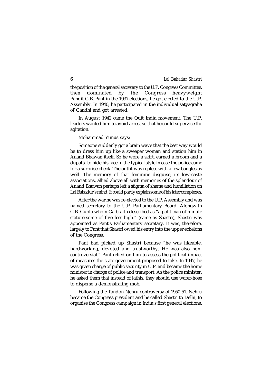the position of the general secretary to the U.P. Congress Committee,<br>then dominated by the Congress heavyweight then dominated by the Congress heavyweight Pandit G.B. Pant in the 1937 elections, he got elected to the U.P. Assembly. In 1940, he participated in the individual satyagraha of Gandhi and got arrested.

In August 1942 came the Quit India movement. The U.P. leaders wanted him to avoid arrest so that he could supervise the agitation.

Mohammad Yunus says:

Someone suddenly got a brain wave that the best way would be to dress him up like a sweeper woman and station him in Anand Bhawan itself. So he wore a skirt, earned a broom and a dupatta to hide his face in the typical style in case the police came for a surprise check. The outfit was replete with a few bangles as well. The memory of that feminine disguise, its low-caste associations, allied above all with memories of the splendour of Anand Bhawan perhaps left a stigma of shame and humiliation on Lal Bahadur's mind. It could partly explain some of his later complexes.

After the war he was re-elected to the U.P. Assembly and was named secretary to the U.P. Parliamentary Board. Alongwith C.B. Gupta whom Galbraith described as "a politician of minute stature-some of five feet high." (same as Shastri), Shastri was appointed as Pant's Parliamentary secretary. It was, therefore, largely to Pant that Shastri owed his entry into the upper echelons of the Congress.

Pant had picked up Shastri because "he was likeable, hardworking, devoted and trustworthy. He was also noncontroversial." Pant relied on him to assess the political impact of measures the state government proposed to take. In 1947, he was given charge of public security in U.P. and became the home minister in charge of police and transport. As the police minister, he asked them that instead of lathis, they should use water-hose to disperse a demonstrating mob.

Following the Tandon-Nehru controversy of 1950-51. Nehru became the Congress president and he called Shastri to Delhi, to organise the Congress campaign in India's first general elections.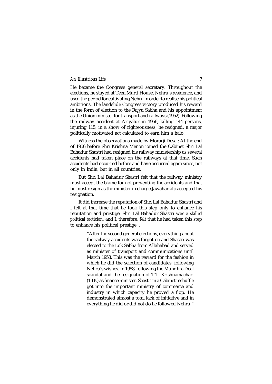He became the Congress general secretary. Throughout the elections, he stayed at Teen Murti House, Nehru's residence, and used the period for cultivating Nehru in order to realise his political ambitions. The landslide Congress victory produced his reward in the form of election to the Rajya Sabha and his appointment as the Union minister for transport and railways (1952). Following the railway accident at Ariyalur in 1956, killing 144 persons, injuring 115, in a show of righteousness, he resigned, a major politically motivated act calculated to earn him a halo.

Witness the observations made by Morarji Desai: At the end of 1956 before Shri Krishna Menon joined the Cabinet Shri Lal Bahadur Shastri had resigned his railway ministership as several accidents had taken place on the railways at that time. Such accidents had occurred before and have occurred again since, not only in India, but in all countries.

But Shri Lal Bahadur Shastri felt that the railway ministry must accept the blame for not preventing the accidents and that he must resign as the minister in charge Jawaharlalji accepted his resignation.

It did increase the reputation of Shri Lal Bahadur Shastri and I felt at that time that he took this step only to enhance his reputation and prestige. Shri Lal Bahadur Shastri was a *skilled political tactician,* and I, therefore, felt that he had taken this step to enhance his political prestige".

> "After the second general elections, everything about the railway accidents was forgotten and Shastri was elected to the Lok Sabha from Allahabad and served as minister of transport and communications until March 1958. This was the reward for the fashion in which he did the selection of candidates, following Nehru's wishes. In 1958, following the Mundhra Deal scandal and the resignation of T.T. Krishnamachari (TTK) as finance minister. Shastri in a Cabinet reshuffle got into the important ministry of commerce and industry in which capacity he proved a flop. He demonstrated almost a total lack of initiative and in everything he did or did not do he followed Nehru."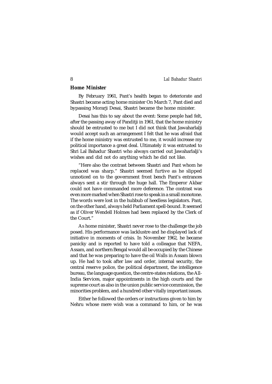### **Home Minister**

By February 1961, Pant's health began to deteriorate and Shastri became acting home minister On March 7, Pant died and bypassing Morarji Desai, Shastri became the home minister.

Desai has this to say about the event: Some people had felt, after the passing away of Panditji in 1961, that the home ministry should be entrusted to me but I did not think that Jawaharlalji would accept such an arrangement I felt that he was afraid that if the home ministry was entrusted to me, it would increase my political importance a great deal. Ultimately it was entrusted to Shri Lal Bahadur Shastri who always carried out Jawaharlalji's wishes and did not do anything which he did not like.

"Here also the contrast between Shastri and Pant whom he replaced was sharp." Shastri seemed furtive as he slipped unnoticed on to the government front bench Pant's entrances always sent a stir through the huge hall. The Emperor Akbar could not have commanded more deference. The contrast was even more marked when Shastri rose to speak in a small monotone. The words were lost in the hubbub of heedless legislators. Pant, on the other hand, always held Parliament spell-bound. It seemed as if Oliver Wendell Holmes had been replaced by the Clerk of the Court."

As home minister, Shastri never rose to the challenge the job posed. His performance was lacklustre and he displayed lack of initiative in moments of crisis. In November 1962, he became panicky and is reported to have told a colleague that NEFA, Assam, and northern Bengal would all be occupied by the Chinese and that he was preparing to have the oil Walls in Assam blown up. He had to took after law and order, internal security, the central reserve police, the political department, the intelligence bureau, the language question, the centre-states relations, the All-India Services, major appointments in the high courts and the supreme court as also in the union public service commission, the minorities problem, and a hundred other vitally important issues.

Either he followed the orders or instructions given to him by Nehru whose mere wish was a command to him, or he was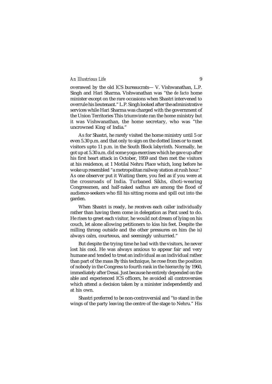overawed by the old ICS bureaucrats— V. Vishwanathan, L.P. Singh and Hari Sharma. Vishwanathan was "the *de facto* home minister except on the rare occasions when Shastri intervened to overrule his lieutenant." L.P. Singh looked after the administrative services while Hari Sharma was charged with the government of the Union Territories This triumvirate ran the home ministry but it was Vishwanathan, the home secretary, who was "the uncrowned King of India."

As for Shastri, he rarefy visited the home ministry until 5 or even 5.30 p.m. and that only to sign on the dotted lines or to meet visitors upto 11 p.m. in the South Block labyrinth. Normally, he got up at 5.30 a.m. did some yoga exercises which he gave up after his first heart attack in October, 1959 and then met the visitors at his residence, at 1 Motilal Nehru Place which, long before he woke up resembled "a metropolitan railway station at rush hour." As one observer put it Waiting there, you feel as if you were at the crossroads of India. Turbaned Sikhs, dhoti-wearing Congressmen, and half-naked sadhus are among the flood of audience-seekers who fill his sitting rooms and spill out into the garden.

When Shastri is ready, he receives each caller individually rather than having them come in delegation as Pant used to do. He rises to greet each visitor, he would not dream of lying on his couch, let alone allowing petitioners to kiss his feet. Despite the milling throng outside and the other pressures on him (he is) always calm, courteous, and seemingly unhurried."

But despite the trying time he had with the visitors, he never lost his cool. He was always anxious to appear fair and very humane and tended to treat an individual as an individual rather than part of the mass By this technique, he rose from the position of nobody in the Congress to fourth rank in the hierarchy by 1960, immediately after Desai. Just because he entirely depended on the able and experienced ICS officers, he avoided all controversies which attend a decision taken by a minister independently and at his own.

Shastri preferred to be non-controversial and "to stand in the wings of the party leaving the centre of the stage to Nehru." His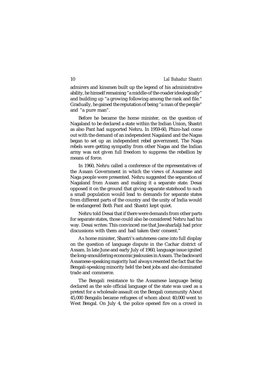admirers and kinsmen built up the legend of his administrative ability, he himself remaining "a middle-of the-roader ideologically" and building up "a growing following among the rank and file." Gradually, he gained the reputation of being "a man of the people" and "a pure man".

Before he became the home minister, on the question of Nagaland to be declared a state within the Indian Union, Shastri as also Pant had supported Nehru. In 1959-60, Phizo-had come out with the demand of an independent Nagaland and the Nagas began to set up an independent rebel government. The Naga rebels were getting sympathy from other Nagas and the Indian army was not given full freedom to suppress the rebellion by means of force.

In 1960, Nehru called a conference of the representatives of the Assam Government in which the views of Assamese and Naga people were presented. Nehru suggested the separation of Nagaland from Assam and making it a separate state. Desai opposed it on the ground that giving separate statehood to such a small population would lead to demands for separate states from different parts of the country and the unity of India would be endangered Both Pant and Shastri kept quiet.

Nehru told Desai that if there were demands from other parts for separate states, those could also be considered Nehru had his way. Desai writes: This convinced me that Jawaharlalji had prior discussions with them and had taken their consent."

As home minister, Shastri's astuteness came into full display on the question of language dispute in the Cachar district of Assam. In late June and early July of 1960, language issue ignited the long-smouldering economic jealousies in Assam. The backward Assamese-speaking majority had always resented the fact that the Bengali-speaking minority held the best jobs and also dominated trade and commerce.

The Bengali resistance to the Assamese language being declared as the sole official language of the state was used as a pretext for a wholesale assault on the Bengali community About 45,000 Bengalis became refugees of whom about 40,000 went to West Bengal. On July 4, the police opened fire on a crowd in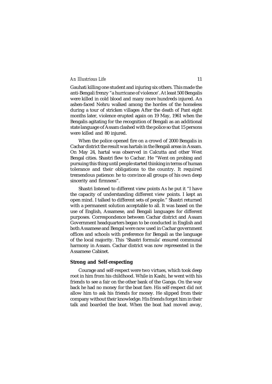Gauhati killing one student and injuring six others. This made the anti-Bengali frenzy "a hurricane of violence'. At least 500 Bengalis were killed in cold blood and many more hundreds injured. An ashen-faced Nehru walked among the hordes of the homeless during a tour of stricken villages After the death of Pant eight months later, violence erupted again on 19 May, 1961 when the Bengalis agitating for the recognition of Bengali as an additional state language of Assam clashed with the police so that 15 persons were killed and 80 injured.

When the police opened fire on a crowd of 2000 Bengalis in Cachar district the result was hartals in the Bengali areas in Assam. On May 24, hartal was observed in Calcutta and other West Bengal cities. Shastri flew to Cachar. He "Went on probing and pursuing this thing until people started thinking in terms of human tolerance and their obligations to the country. It required tremendous patience: he to convince all groups of his own deep sincerity and firmness".

Shastri listened to different view points As he put it "I have the capacity of understanding different view points. I kept an open mind. I talked to different sets of people." Shastri returned with a permanent solution acceptable to all. It was based on the use of English, Assamese, and Bengali languages for different purposes. Correspondence between Cachar district and Assam Government headquarters began to be conducted in English and both Assamese and Bengal were now used in Cachar government offices and schools with preference for Bengali as the language of the local majority. This 'Shastri formula' ensured communal harmony in Assam. Cachar district was now represented in the Assamese Cabinet.

# **Strong and Self-respecting**

Courage and self-respect were two virtues, which took deep root in him from his childhood. While in Kashi, he went with his friends to see a fair on the other bank of the Ganga. On the way back he had no money for the boat fare. His self-respect did not allow him to ask his friends for money. He slipped from their company without their knowledge. His friends forgot him in their talk and boarded the boat. When the boat had moved away,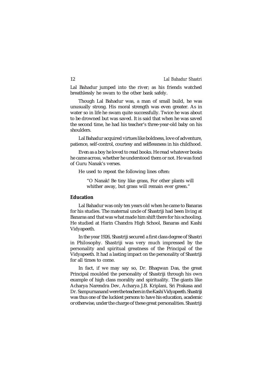Lal Bahadur jumped into the river; as his friends watched breathlessly he swam to the other bank safely.

Though Lal Bahadur was, a man of small build, he was unusually strong. His moral strength was even greater. As in water so in life he swam quite successfully. Twice he was about to be drowned but was saved. It is said that when he was saved the second time, he had his teacher's three-year-old baby on his shoulders.

Lal Bahadur acquired virtues like boldness, love of adventure, patience, self-control, courtesy and selflessness in his childhood.

Even as a boy he loved to read books. He read whatever books he came across, whether he understood them or not. He was fond of Guru Nanak's verses.

He used to repeat the following lines often:

"O Nanak! Be tiny like grass, For other plants will whither away, but grass will remain ever green."

# **Education**

Lal Bahadur was only ten years old when he came to Banaras for his studies. The maternal uncle of Shastriji had been living at Banaras and that was what made him shift there for his schooling. He studied at Harin Chandra High School, Banaras and Kashi Vidyapeeth.

In the year 1926, Shastriji secured a first class degree of Shastri in Philosophy. Shastriji was very much impressed by the personality and spiritual greatness of the Principal of the Vidyapeeth. It had a lasting impact on the personality of Shastriji for all times to come.

In fact, if we may say so, Dr. Bhagwan Das, the great Principal moulded the personality of Shastriji through his own example of high class morality and spirituality. The giants like Acharya Narendra Dev, Acharya J.B. Kriplani, Sri Prakasa and Dr. Sampurnanand were the teachers in the Kashi Vidyapeeth. Shastriji was thus one of the luckiest persons to have his education, academic or otherwise, under the charge of these great personalities. Shastriji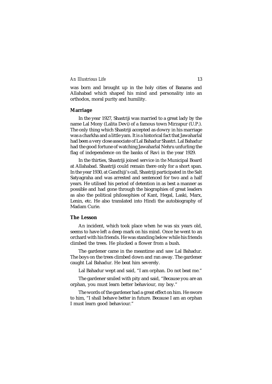was born and brought up in the holy cities of Banaras and Allahabad which shaped his mind and personality into an orthodox, moral purity and humility.

### **Marriage**

In the year 1927, Shastriji was married to a great lady by the name Lal Mony (Lalita Devi) of a famous town Mirzapur (U.P.). The only thing which Shastriji accepted as dowry in his marriage was a charkha and a little yam. It is a historical fact that Jawaharlal had been a very close associate of Lal Bahadur Shastri. Lal Bahadur had the good fortune of watching Jawaharlal Nehru unfurling the flag of independence on the banks of Ravi in the year 1929.

In the thirties, Shastriji joined service in *the* Municipal Board at Allahabad. Shastriji could remain there only for a short span. In the year 1930, at Gandhiji's call, Shastriji participated in the Salt Satyagraha and was arrested and sentenced for two and a half years. He utilised his period of detention in as best a manner as possible and had gone through the biographies of great leaders as also the political philosophies of Kant, Hegal, Laski, Marx, Lenin, etc. He also translated into Hindi the autobiography of Madam Curie.

# **The Lesson**

An incident, which took place when he was six years old, seems to have left a deep mark on his mind. Once he went to an orchard with his friends. He was standing below while his friends climbed the trees. He plucked a flower from a bush.

The gardener came in the meantime and saw Lal Bahadur. The boys on the trees climbed down and ran away. The gardener caught Lal Bahadur. He beat him severely.

Lal Bahadur wept and said, "I am orphan. Do not beat me."

The gardener smiled with pity and said, "Because you are an orphan, you must learn better behaviour, my boy."

The words of the gardener had a great effect on him. He swore to him, "I shall behave better in future. Because I am an orphan I must learn good behaviour."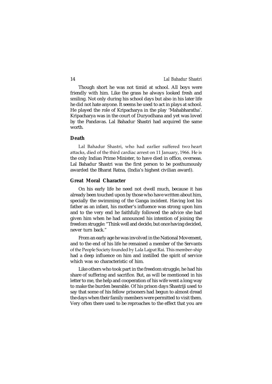Though short he was not timid at school. All boys were friendly with him. Like the grass he always looked fresh and smiling. Not only during his school days but also in his later life he did not hate anyone. It seems he used to act in plays at school. He played the role of Kripacharya in the play 'Mahabharatha'. Kripacharya was in the court of Duryodhana and yet was loved by the Pandavas. Lal Bahadur Shastri had acquired the same worth.

# **Death**

Lal Bahadur Shastri, who had earlier suffered two heart attacks, died of the third cardiac arrest on 11 January, 1966. He is the only Indian Prime Minister, to have died in office, overseas. Lal Bahadur Shastri was the first person to be posthumously awarded the Bharat Ratna, (India's highest civilian award).

# **Great Moral Character**

On his early life he need not dwell much, because it has already been touched upon by those who have written about him, specially the swimming of the Ganga incident. Having lost his father as an infant, his mother's influence was strong upon him and to the very end he faithfully followed the advice she had given him when he had announced his intention of joining the freedom struggle: "Think well and decide, but once having decided, never turn back."

From an early age he was involved in the National Movement, and to the end of his life he remained a member of the Servants of the People Society founded by Lala Lajpat Rai. This member-ship had a deep influence on him and instilled the spirit of service which was so characteristic of him.

Like others who took part in the freedom struggle, he had his share of suffering and sacrifice. But, as will be mentioned in his letter to me, the help and cooperation of his wife went a long way to make the burden bearable. Of his prison days Shastriji used to say that some of his fellow prisoners had begun to almost dread the days when their family members were permitted to visit them. Very often there used to be reproaches to the effect that you are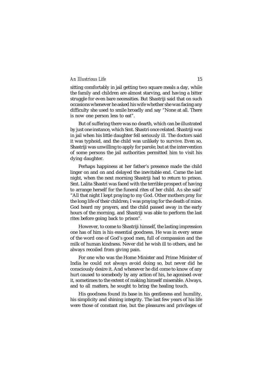sitting comfortably in jail getting two square meals a day, while the family and children are almost starving, and having a bitter struggle for even bare necessities. But Shastriii said that on such occasions whenever he asked his wife whether she was facing any difficulty she used to smile broadly and say "None at all. There is now one person less to eat".

But of suffering there was no dearth, which can be illustrated by just one instance, which Smt. Shastri once related. Shastriji was in jail when his little daughter fell seriously ill. The doctors said it was typhoid, and the child was unlikely to survive. Even so, Shastriji was unwilling to apply for parole; but at the intervention of some persons the jail authorities permitted him to visit his dying daughter.

Perhaps happiness at her father's presence made the child linger on and on and delayed the inevitable end. Came the last night, when the next morning Shastriji had to return to prison. Smt. Lalita Shastri was faced with the terrible prospect of having to arrange herself for the funeral rites of her child. As she said' "All that night I kept praying to my God. Other mothers pray for the long life of their children; I was praying for the death of mine. God heard my prayers, and the child passed away in the early hours of the morning, and Shastriji was able to perform the last rites before going back to prison".

However, to come to Shastriji himself, the lasting impression one has of him is his essential goodness. He was in every sense of the word one of God's good men, full of compassion and the milk of human kindness. Never did he wish ill to others, and he always recoiled from giving pain.

For one who was the Home Minister and Prime Minister of India he could not always avoid doing so, but never did he consciously desire it. And whenever he did come to know of any hurt caused to somebody by any action of his, he agonised over it, sometimes to the extent of making himself miserable. Always, and to all matters, he sought to bring the healing touch.

His goodness found its base in his gentleness and humility, his simplicity and shining integrity. The last few years of his life were those of constant rise, but the pleasures and privileges of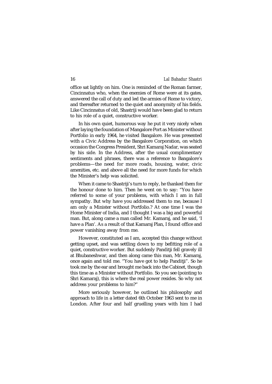office sat lightly on him. One is reminded of the Roman farmer, Cincinnatus who, when the enemies of Rome were at its gates, answered the call of duty and led the armies of Rome to victory, and thereafter returned to the quiet and anonymity of his fields. Like Cincinnatus of old, Shastriji would have been glad to return to his role of a quiet, constructive worker.

In his own quiet, humorous way he put it very nicely when after laying the foundation of Mangalore Port as Minister without Portfolio in early 1964, he visited Bangalore. He was presented with a Civic Address by the Bangalore Corporation, on which occasion the Congress President, Shri Kamaraj Nadar, was seated by his side. In the Address, after the usual complimentary sentiments and phrases, there was a reference to Bangalore's problems—the need for more roads, housing, water, civic amenities, etc. and above all the need for more funds for which the Minister's help was solicited.

When it came to Shastriji's turn to reply, he thanked them for the honour done to him. Then he went on to say: "You have referred to some of your problems, with which I am in full sympathy. But why have you addressed them to me, because I am only a Minister without Portfolio.? At one time I was the Home Minister of India, and I thought I was a big and powerful man. But, along came a man called Mr. Kamaraj, and he said, 'I have a Plan'. As a result of that Kamaraj Plan, I found office and power vanishing away from me.

However, constituted as I am, accepted this change without getting upset, and was settling down to my befitting role of a quiet, constructive worker. But suddenly Panditji fell gravely ill at Bhubaneshwar, and then along came this man, Mr. Kamaraj, once again and told me. "You have got to help Panditji". So he took me by the ear and brought me back into the Cabinet, though this time as a Minister without Portfolio. So you see (pointing to Shri Kamaraj), this is where the real power resides. So why not address your problems to him?"

More seriously however, he outlined his philosophy and approach to life in a letter dated 6th October 1963 sent to me in London. After four and half gruelling years with him I had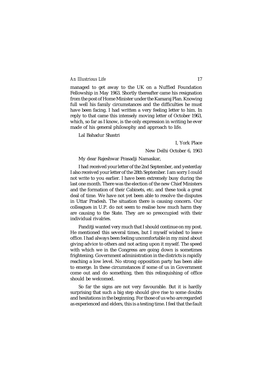managed to get away to the UK on a Nuffied Foundation Fellowship in May 1963. Shortly thereafter came his resignation from the post of Home Minister under the Kamaraj Plan. Knowing full well his family circumstances and the difficulties he must have been facing. I had written a very feeling letter to him. In reply to that came this intensely moving letter of October 1963, which, so far as I know, is the only expression in writing he ever made of his general philosophy and approach to life.

Lal Bahadur Shastri

I, York Place

New Delhi October 6, 1963

My dear Rajeshwar Prasadji Namaskar,

I had received your letter of the 2nd September, and yesterday I also received your letter of the 28th September. I am sorry I could not write to you earlier. I have been extremely busy during the last one month. There was the election of the new Chief Ministers and the formation of their Cabinets, etc. and these took a great deal of time. We have not yet been able to resolve the disputes in Uttar Pradesh. The situation there is causing concern. Our colleagues in U.P. do not seem to realise how much harm they are causing to the State. They are so preoccupied with their individual rivalries.

Panditji wanted very much that I should continue on my post. He mentioned this several times, but I myself wished to leave office. I had always been feeling uncomfortable in my mind about giving advice to others and not acting upon it myself. The speed with which we in the Congress are going down is sometimes frightening. Government administration in the districts is rapidly reaching a low level. No strong opposition party has been able to emerge. In these circumstances if some of us in Government come out and do something, then this relinquishing of office should be welcomed.

So far the signs are not very favourable. But it is hardly surprising that such a big step should give rise to some doubts and hesitations in the beginning. For those of us who are regarded as experienced and elders, this is a testing time. I feel that the fault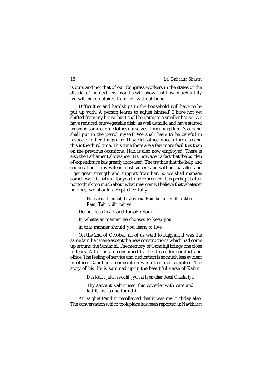is ours and not that of our Congress workers in the states or the districts. The next few months will show just how much utility we will have outside. I am not without hope.

Difficulties and hardships in the household will have to be put up with. A person learns to adjust himself. I have not yet shifted from my house but I shall be going to a smaller house. We have reduced one vegetable dish, as well as milk, and have started washing some of our clothes ourselves. I am using Ramji's car and shall put in the petrol myself. We shall have to be careful in respect of other things also. I have left office twice before also and this is the third time. This time there are a few more facilities than on the previous occasions. Hari is also now employed. There is also the Parliament allowance. It is, however, a fact that the burden of expenditure has greatly increased. The truth is that the help and cooperation of my wife is most sincere and without parallel, and I get great strength and support from her. So we shall manage somehow. It is natural for you to be concerned. It is perhaps better not to think too much about what may come. I believe that whatever he does, we should accept cheerfully.

# *Hariye na himmat, bisariye na Ram ko Jahi vidhi rakhen Ram, Tahi vidhi rahiye*

Do not lose heart and forsake Ram.

In whatever manner he chooses to keep you

in that manner should you learn to live.

On the 2nd of October, all of us went to Rajghat. It was the same familiar scene except the new constructions which had come up around the Samadhi. The memory of Gandhiji brings one close to tears. All of us are consumed by the desire for comfort and office. The feeling of service and dedication is so much less evident in office. Gandhiji's renunciation was utter and complete. The story of his life is summed up in the beautiful verse of Kabir:

# *Das Kabir jatan se odhi, Jyon ki tyon dhar deeni Chadariya*

Thy servant Kabir used this coverlet with care and left it just as he found it

At Rajghat Panditji recollected that it was my birthday also. The conversation which took place has been reported in *Navbharat*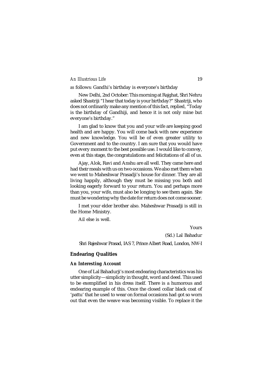# *as* follows: Gandhi's birthday is everyone's birthday

New Delhi, 2nd October: This morning at Rajghat, Shri Nehru asked Shastriji "I hear that today is your birthday?" Shastriji, who does not ordinarily make any mention of this fact, replied, "Today is the birthday of Gandhiji, and hence it is not only mine but everyone's birthday."

I am glad to know that you and your wife are keeping good health and are happy. You will come back with new experience and new knowledge. You will be of even greater utility to Government and to the country. I am sure that you would have put every moment to the best possible use. I would like to convey, even at this stage, the congratulations and felicitations of all of us.

Ajay, Alok, Ravi and Anshu are all well. They came here and had their meals with us on two occasions. We also met them when we went to Maheshwar Prasadji's house for dinner. They are all living happily, although they must be missing you both and looking eagerly forward to your return. You and perhaps more than you, your wife, must also be longing to see them again. She must be wondering why the date for return does not come sooner.

I met your elder brother also. Maheshwar Prasadji is still in the Home Ministry.

Ail else is well.

Yours

(Sd.) Lal Bahadur

Shri Rajeshwar Prasad, IAS 7, Prince Albert Road, London, NW-I

# **Endearing Qualities**

#### *An Interesting Account*

One of Lal Bahadurji's most endearing characteristics was his utter simplicity—simplicity in thought, word and deed. This used to be exemplified in his dress itself. There is a humorous and endearing example of this. Once the closed collar black coat of 'pattu' that he used to wear on formal occasions had got so worn out that even the weave was becoming visible. To replace it the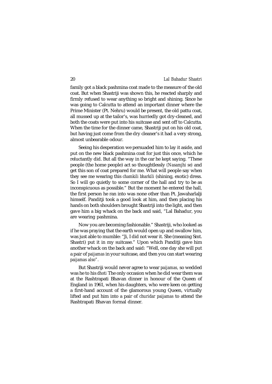family got a black pashmina coat made to the measure of the old coat. But when Shastriji was shown this, he reacted sharply and firmly refused to wear anything so bright and shining. Since he was going to Calcutta to attend an important dinner where the Prime Minister (Pt. Nehru) would be present, the old pattu coat, all mussed up at the tailor's, was hurriedly got dry-cleaned, and both the coats were put into his suitcase and sent off to Calcutta. When the time for the dinner came. Shastriii put on his old coat, but having just come from the dry cleaner's it had a very strong, almost unbearable odour.

Seeing his desperation we persuaded him to lay it aside, and put on the new black pashmina coat for just this once, which he reluctantly did. But all the way in the car he kept saying. "These people (the home people) act so thoughtlessly *(Nasamjhi se)* and get this son of coat prepared for me. What will people say when they see me wearing this *chamkili bharkili* (shining, exotic) dress. So I will go quietly to some corner of the hall and try to be as inconspicuous as possible." But the moment he entered the hall, the first person he ran into was none other than Pt. Jawaharlalji himself. Panditii took a good look at him, and then placing his hands on both shoulders brought Shastriji into the light, and then gave him a big whack on the back and said, "Lal Bahadur, you are wearing pashmina.

Now you are becoming fashionable." Shastriji, who looked as if he was praying that the earth would open up and swallow him, was just able to mumble: "Ji, I did not wear it. She (meaning Smt. Shastri) put it in my suitcase." Upon which Panditii gave him another whack on the back and said: "Well, one day she will put a pair of *paijamas* in your suitcase, and then you can start wearing *paijamas also".*

But Shastriji would never agree to wear *paijamas,* so wedded was he to his *dhoti* The only occasion when he did wear them was at the Rashtrapati Bhavan dinner in honour of the Queen of England in 1961, when his daughters, who were keen on getting a first-hand account of the glamorous young Queen, virtually lifted and put him into a pair of *churidar paijamas* to attend the Rashtrapati Bhavan formal dinner.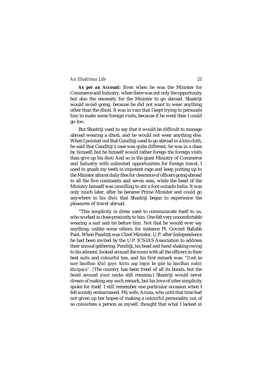*As per an Account:* Even when he was the Minister for Commerce and Industry, when there was not only the opportunity but also the necessity for the Minister to go abroad. Shastriji would avoid going, because he did not want to wear anything other than the dhoti. It was in vain that I kept trying to persuade him to make some foreign visits, because if he went then I could go loo.

But Shastriii used to say that it would be difficult to manage abroad wearing a dhoti, and he would not wear anything else. When I pointed out that Gandhiji used to go abroad in a loin cloth, he said that Gandhiji's case was quite different, he was in a class by himself; but he himself would rather forego the foreign visits than give up his *dhoti* And so in the giant Ministry of Commerce and Industry with unlimited opportunities for foreign travel. I used to gnash my teeth in impotent rage and keep putting up to the Minister almost daily files for clearance of officers going abroad to all the five continents and seven seas, while the head of the Ministry himself was unwilling to stir a foot outside India. It was only much later, after he became Prime Minister and could go anywhere in his *dhoti* that Shastriji began to experience the pleasures of travel abroad.

"This simplicity in dress used to communicate itself to us, who worked in close proximity to him. One felt very uncomfortable wearing a suit and tie before him. Not that he would ever say anything, unlike some others, for instance Pt. Govind Ballabh Pant. When Panditji was Chief Minister, U.P. after Independence he had been invited by the U.P. ICS-IAS Association to address their annual gathering. Panditji, his head and hand shaking owing to his ailment, looked around the room with all the officers in their best suits and colourful ties, and his first remark was: "*Desh ke sare bandhan khul gaye, kintu aap logon ke gale ka bandhan nahin khulpaya". (*The country has been freed of all its bonds, but the bond around your necks still remains.) Shastriji would never dream of making any such remark, but his love of utter simplicity spoke for itself. I still remember one particular occasion when I felt acutely embarrassed. My wife, Aruna, who until that time had not given up her hopes of making a colourful personality out of so colourless a person as myself, thought that what I lacked in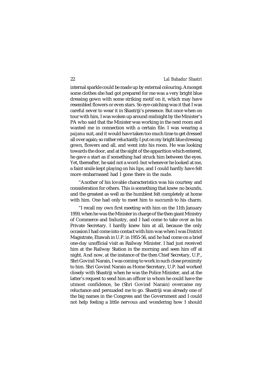internal sparkle could be made up by external colouring. Amongst some clothes she had got prepared for me was a very bright blue dressing gown with some striking motif on it, which may have resembled flowers or even stars. So eye-catching was it that I was careful never to wear it in Shastriji's presence. But once when on tour with him, I was woken up around midnight by the Minister's PA who said that the Minister was working in the next room and wanted me in connection with a certain file. I was wearing a *paijama* suit, and it would have taken too much time to get dressed all over again; so rather reluctantly I put on my bright blue dressing gown, flowers and all, and went into his room. He was looking towards the door, and at the sight of the apparition which entered, he gave a start as if something had struck him between the eyes. Yet, thereafter, he said not a word: but whenever he looked at me, a faint smile kept playing on his lips, and I could hardly have felt more embarrassed had I gone there in the nude.

"Another of his lovable characteristics was his courtesy and consideration for others. This is something that knew no bounds, and the greatest as well as the humblest felt completely at home with him. One had only to meet him to succumb to his charm.

"I recall my own first meeting with him on the 11th January 1959, when he was the Minister in charge of the then giant Ministry of Commerce and Industry, and I had come to take over as his Private Secretary. I hardly knew him at all, because the only occasion I had come into contact with him was when I was District Magistrate, Etawah in U.P. in 1955-56, and he had come on a brief one-day unofficial visit as Railway Minister. I had just received him at the Railway Station in the morning and seen him off at night. And now, at the instance of the then Chief Secretary, U.P., Shri Govind Narain, I was coming to work in such close proximity to him. Shri Govind Narain as Home Secretary, U.P. had worked closely with Shastriji when he was the Police Minister, and at the latter's request to send him an officer in whom he could have the utmost confidence, he (Shri Govind Narain) overcame my reluctance and persuaded me to go. Shastriji was already one of the big names in the Congress and the Government and I could not help feeling a little nervous and wondering how I should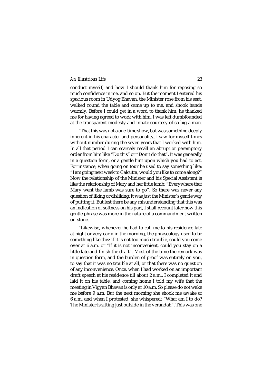conduct myself, and how I should thank him for reposing so much confidence in me, and so on. But the moment I entered his spacious room in Udyog Bhavan, the Minister rose from his seat, walked round the table and came up to me, and shook hands warmly. Before I could get in a word to thank him, he thanked me for having agreed to work with him. I was left dumbfounded at the transparent modesty and innate courtesy of so big a man.

"That this was not a one-time show, but was something deeply inherent in his character and personality, I saw for myself times without number during the seven years that I worked with him. In all that period I can scarcely recall an abrupt or peremptory order from him like "Do this" or "Don't do that". It was generally in a question form, or a gentle hint upon which you had to act. For instance, when going on tour he used to say something like: "I am going next week to Calcutta, would you like to come along?" Now the relationship of the Minister and his Special Assistant is like the relationship of Mary and her little lamb: "Everywhere that Mary went the lamb was sure to go". So there was never any question of liking or disliking; it was just the Minister's gentle way of putting it. But lest there be any misunderstanding that this was an indication of softness on his part, I shall recount later how this gentle phrase was more in the nature of a commandment written on stone.

"Likewise, whenever he had to call me to his residence late at night or very early in the morning, the phraseology used to be something like this: if it is not too much trouble, could you come over at 6 a.m. or "If it is not inconvenient, could you stay on a little late and finish the draft". Most of the time the remark was in question form, and the burden of proof was entirely on you, to say that it was no trouble at all, or that there was no question of any inconvenience. Once, when I had worked on an important draft speech at his residence till about 2 a.m., I completed it and laid it on his table, and coming home I told my wife that the meeting in Vigyan Bhavan is only at 10 a.m. So please do not wake me before 9 a.m. But the next morning she shook me awake at 6 a.m. and when I protested, she whispered: "What am I to do? The Minister is sitting just outside in the verandah". This was one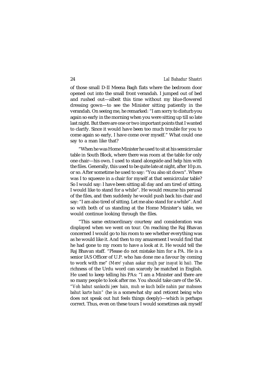of those small D-II Meena Bagh flats where the bedroom door opened out into the small front verandah. I jumped out of bed and rushed out—albeit this time without my blue-flowered dressing gown—to see the Minister sitting patiently in the verandah. On seeing me, he remarked: "I am sorry to disturb you again so early in the morning when you were sitting up till so late last night. But there are one or two important points that I wanted to clarify. Since it would have been too much trouble for you to come again so early, I have come over myself." What could one say to a man like that?

"When he was Home Minister he used to sit at his semicircular table in South Block, where there was room at the table for only one chair—his own. I used to stand alongside and help him with the files. Generally, this used to be quite late at night, after 10 p.m. or so. After sometime he used to say: "You also sit down". Where was I to squeeze in a chair for myself at that semicircular table? So I would say: I have been sitting all day and am tired of sitting. I would like to stand for a while". He would resume his perusal of the files, and then suddenly he would push back his chair and say: "I am also tired of sitting. Let me also stand for a while". And so with both of us standing at the Home Minister's table, we would continue looking through the files.

"This same extraordinary courtesy and consideration was displayed when we went on tour. On reaching the Raj Bhavan concerned I would go to his room to see whether everything was as he would like it. And then to my amazement I would find that he had gone to my room to have a look at it. He would tell the Raj Bhavan staff. "Please do not mistake him for a PA. He is a senior IAS Officer of U.P. who has done me a favour by coming to work with me" *(Mere' yahan aakar mujh par inayat ki hai).* The richness of the Urdu word can scarcely be matched in English. He used to keep telling his PAs: "I am a Minister and there are so many people to look after me. You should take care of the SA. *"Voh bahut sankochi jeev hain, muh se kuch bolle nahin par mahsoos bahut karte hain"* (he is a somewhat shy and reticent being who does not speak out hut feels things deeply)—which is perhaps correct. Thus, even on these tours I would sometimes ask myself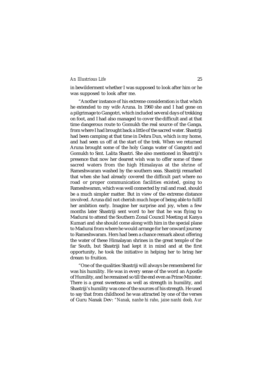in bewilderment whether I was supposed to look after him or he was supposed to look after me.

"Another instance of his extreme consideration is that which he extended to my wife Aruna. In 1960 she and I had gone on a pilgrimage to Gangotri, which included several days of trekking on foot, and I had also managed to cover the difficult and at that time dangerous route to Gomukh the real source of the Ganga, from where I had brought back a little of the sacred water. Shastriji had been camping at that time in Dehra Dun, which is my home, and had seen us off at the start of the trek. When we returned Aruna brought some of the holy Ganga water of Gangotri and Gomukh to Smt. Lalita Shastri. She also mentioned in Shastriji's presence that now her dearest wish was to offer some of these sacred waters from the high Himalayas at the shrine of Rameshwaram washed by the southern seas. Shastriji remarked that when she had already covered the difficult part where no road or proper communication facilities existed, going to Rameshwaram, which was well connected by rail and road, should be a much simpler matter. But in view of the extreme distance involved. Aruna did not cherish much hope of being able to fulfil her ambition early. Imagine her surprise and joy, when a few months later Shastriji sent word to her that he was flying to Madurai to attend the Southern Zonal Council Meeting at Kanya Kumari and she should come along with him in the special plane to Madurai from where he would arrange for her onward journey to Rameshwaram. Hers had been a chance remark about offering the water of these Himalayan shrines in the great temple of the far South, but Shastriji had kept it in mind and at the first opportunity, he took the initiative in helping her to bring her dream to fruition.

"One of the qualities Shastriji will always be remembered for was his humility. He was in every sense of the word an Apostle of Humility, and he remained so till the end even as Prime Minister. There is a great sweetness as well as strength in humility, and Shastriji's humility was one of the sources of his strength. He used to say that from childhood he was attracted by one of the verses of Guru Nanak Dev: *"Nanak, nanhe hi raho, jaise nanhi doob, Aur*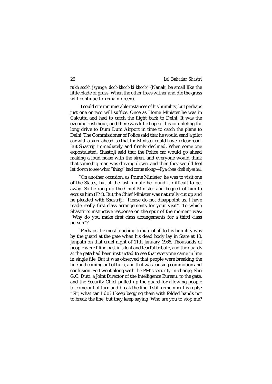*rukh sookh jayenge, doob khoob ki khoob"* (Nanak, be small like the little blade of grass: When the other trees wither and die the grass will continue to remain green).

"I could cite innumerable instances of his humility, but perhaps just one or two will suffice. Once as Home Minister he was in Calcutta and had to catch the flight back to Delhi. It was the evening rush hour, and there was little hope of his completing the long drive to Dum Dum Airport in time to catch the plane to Delhi. The Commissioner of Police said that he would send a pilot car with a siren ahead, so that the Minister could have a clear road. But Shastriji immediately and firmly declined. When some one expostulated, Shastriji said that the Police car would go ahead making a loud noise with the siren, and everyone would think that some big man was driving down, and then they would feel let down to see what "thing" had come along—*Kya cheez chali aiyee hai.*

"On another occasion, as Prime Minister, he was to visit one of the States, but at the last minute he found it difficult to get away. So he rang up the Chief Minister and begged of him to excuse him (PM). But the Chief Minister was naturally cut up and he pleaded with Shastriji: "Please do not disappoint us. I have made really first class arrangements for your visit". To which Shastriji's instinctive response on the spur of the moment was: "Why do you make first class arrangements for a third class person"?

"Perhaps the most touching tribute of all to his humility was by the guard at the gate when his dead body lay in State at 10, Janpath on that cruel night of 11th January 1966. Thousands of people were filing past in silent and tearful tribute, and the guards at the gate had been instructed to see that everyone came in line in single file. But it was observed that people were breaking the line and coming out of turn, and that was causing commotion and confusion. So I went along with the PM's security-in-charge, Shri G.C. Dutt, a Joint Director of the Intelligence Bureau, to the gate, and the Security Chief pulled up the guard for allowing people to come out of turn and break the line. I still remember his reply: "Sir, what can I do? ! keep begging them with folded hands not to break the line, but they keep saying 'Who are you to stop me?